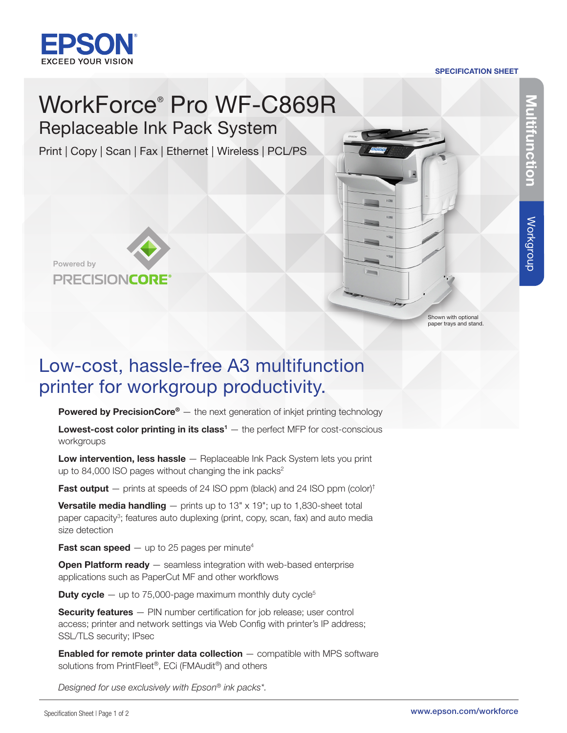

#### SPECIFICATION SHEET

# WorkForce® Pro WF-C869R Replaceable Ink Pack System

Print | Copy | Scan | Fax | Ethernet | Wireless | PCL/PS





Shown with optional paper trays and stand.

# Low-cost, hassle-free A3 multifunction printer for workgroup productivity.

**Powered by PrecisionCore®**  $-$  the next generation of inkjet printing technology

**Lowest-cost color printing in its class<sup>1</sup>**  $-$  the perfect MFP for cost-conscious workgroups

Low intervention, less hassle - Replaceable Ink Pack System lets you print up to 84,000 ISO pages without changing the ink packs $2$ 

**Fast output**  $-$  prints at speeds of 24 ISO ppm (black) and 24 ISO ppm (color)<sup>†</sup>

**Versatile media handling**  $-$  prints up to 13" x 19"; up to 1,830-sheet total paper capacity<sup>3</sup>; features auto duplexing (print, copy, scan, fax) and auto media size detection

**Fast scan speed**  $-$  up to 25 pages per minute<sup>4</sup>

**Open Platform ready** - seamless integration with web-based enterprise applications such as PaperCut MF and other workflows

**Duty cycle**  $-$  up to 75,000-page maximum monthly duty cycle<sup>5</sup>

**Security features** – PIN number certification for job release; user control access; printer and network settings via Web Config with printer's IP address; SSL/TLS security; IPsec

**Enabled for remote printer data collection**  $-$  compatible with MPS software solutions from PrintFleet®, ECi (FMAudit®) and others

*Designed for use exclusively with Epson® ink packs\*.*